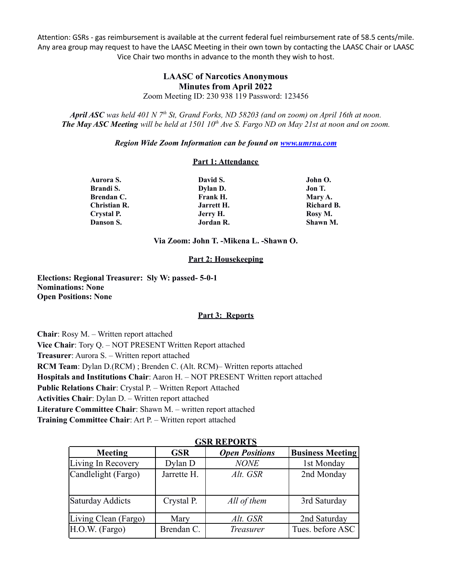Attention: GSRs - gas reimbursement is available at the current federal fuel reimbursement rate of 58.5 cents/mile. Any area group may request to have the LAASC Meeting in their own town by contacting the LAASC Chair or LAASC Vice Chair two months in advance to the month they wish to host.

# **LAASC of Narcotics Anonymous Minutes from April 2022**

Zoom Meeting ID: 230 938 119 Password: 123456

April ASC was held 401 N 7<sup>th</sup> St, Grand Forks, ND 58203 (and on zoom) on April 16th at noon. **The May ASC Meeting** will be held at 1501  $10^{th}$  Ave S. Fargo ND on May 21st at noon and on zoom.

*Region Wide Zoom Information can be found on [www.umrna.com](http://www.umrna.com/)*

#### **Part 1: Attendance**

| David S.                   | John O.           |  |
|----------------------------|-------------------|--|
| Dylan D.                   | Jon T.<br>Mary A. |  |
| Frank H.                   |                   |  |
| Christian R.<br>Jarrett H. |                   |  |
| Jerry H.                   | Rosy M.           |  |
| Jordan R.                  | Shawn M.          |  |
|                            |                   |  |

**Via Zoom: John T. -Mikena L. -Shawn O.**

## **Part 2: Housekeeping**

**Elections: Regional Treasurer: Sly W: passed- 5-0-1 Nominations: None Open Positions: None**

#### **Part 3: Reports**

**Chair**: Rosy M. – Written report attached **Vice Chair**: Tory Q. – NOT PRESENT Written Report attached **Treasurer**: Aurora S. – Written report attached **RCM Team**: Dylan D.(RCM) ; Brenden C. (Alt. RCM)– Written reports attached **Hospitals and Institutions Chair**: Aaron H. – NOT PRESENT Written report attached **Public Relations Chair**: Crystal P. – Written Report Attached **Activities Chair**: Dylan D. – Written report attached **Literature Committee Chair**: Shawn M. – written report attached **Training Committee Chair**: Art P. – Written report attached

| UƏN NEI UN I Ə |                       |                         |  |  |  |  |  |  |
|----------------|-----------------------|-------------------------|--|--|--|--|--|--|
| <b>GSR</b>     | <b>Open Positions</b> | <b>Business Meeting</b> |  |  |  |  |  |  |
| Dylan D        | <b>NONE</b>           | 1st Monday              |  |  |  |  |  |  |
| Jarrette H.    | Alt. GSR              | 2nd Monday              |  |  |  |  |  |  |
| Crystal P.     | All of them           | 3rd Saturday            |  |  |  |  |  |  |
| Mary           | Alt. GSR              | 2nd Saturday            |  |  |  |  |  |  |
| Brendan C.     | Treasurer             | Tues. before ASC        |  |  |  |  |  |  |
|                |                       |                         |  |  |  |  |  |  |

## **GSP DEPODTS**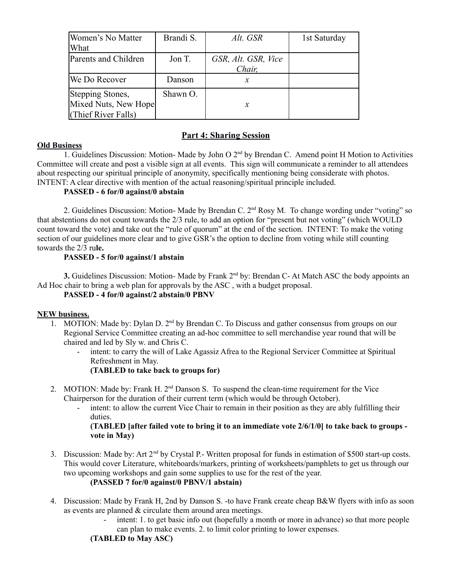| Women's No Matter<br>What                                       | Brandi S. | Alt. GSR                      | 1st Saturday |
|-----------------------------------------------------------------|-----------|-------------------------------|--------------|
| Parents and Children                                            | Jon T.    | GSR, Alt. GSR, Vice<br>Chair, |              |
| We Do Recover                                                   | Danson    | х                             |              |
| Stepping Stones,<br>Mixed Nuts, New Hope<br>(Thief River Falls) | Shawn O.  | $\boldsymbol{x}$              |              |

# **Part 4: Sharing Session**

## **Old Business**

1. Guidelines Discussion: Motion- Made by John O 2<sup>nd</sup> by Brendan C. Amend point H Motion to Activities Committee will create and post a visible sign at all events. This sign will communicate a reminder to all attendees about respecting our spiritual principle of anonymity, specifically mentioning being considerate with photos. INTENT: A clear directive with mention of the actual reasoning/spiritual principle included.

## **PASSED - 6 for/0 against/0 abstain**

2. Guidelines Discussion: Motion- Made by Brendan C. 2<sup>nd</sup> Rosy M. To change wording under "voting" so that abstentions do not count towards the 2/3 rule, to add an option for "present but not voting" (which WOULD count toward the vote) and take out the "rule of quorum" at the end of the section. INTENT: To make the voting section of our guidelines more clear and to give GSR's the option to decline from voting while still counting towards the 2/3 ru**le.**

## **PASSED - 5 for/0 against/1 abstain**

**3.** Guidelines Discussion: Motion- Made by Frank 2<sup>nd</sup> by: Brendan C- At Match ASC the body appoints an Ad Hoc chair to bring a web plan for approvals by the ASC , with a budget proposal.

## **PASSED - 4 for/0 against/2 abstain/0 PBNV**

## **NEW business.**

- 1. MOTION: Made by: Dylan D. 2<sup>nd</sup> by Brendan C. To Discuss and gather consensus from groups on our Regional Service Committee creating an ad-hoc committee to sell merchandise year round that will be chaired and led by Sly w. and Chris C.
	- intent: to carry the will of Lake Agassiz Afrea to the Regional Servicer Committee at Spiritual Refreshment in May.

## **(TABLED to take back to groups for)**

- 2. MOTION: Made by: Frank H.  $2<sup>nd</sup>$  Danson S. To suspend the clean-time requirement for the Vice Chairperson for the duration of their current term (which would be through October).
	- intent: to allow the current Vice Chair to remain in their position as they are ably fulfilling their duties.

**(TABLED [after failed vote to bring it to an immediate vote 2/6/1/0] to take back to groups vote in May)**

3. Discussion: Made by: Art 2<sup>nd</sup> by Crystal P.- Written proposal for funds in estimation of \$500 start-up costs. This would cover Literature, whiteboards/markers, printing of worksheets/pamphlets to get us through our two upcoming workshops and gain some supplies to use for the rest of the year.

## **(PASSED 7 for/0 against/0 PBNV/1 abstain)**

- 4. Discussion: Made by Frank H, 2nd by Danson S. -to have Frank create cheap B&W flyers with info as soon as events are planned & circulate them around area meetings.
	- intent: 1. to get basic info out (hopefully a month or more in advance) so that more people can plan to make events. 2. to limit color printing to lower expenses.

## **(TABLED to May ASC)**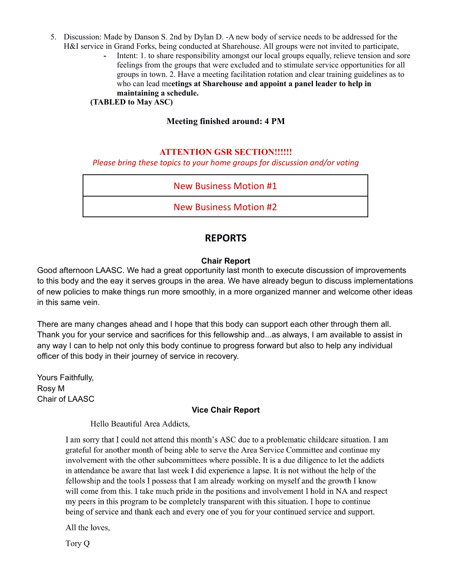- 5. Discussion: Made by Danson S. 2nd by Dylan D. -A new body of service needs to be addressed for the H&I service in Grand Forks, being conducted at Sharehouse. All groups were not invited to participate,
	- Intent: 1. to share responsibility amongst our local groups equally, relieve tension and sore feelings from the groups that were excluded and to stimulate service opportunities for all groups in town. 2. Have a meeting facilitation rotation and clear training guidelines as to who can lead me**etings at Sharehouse and appoint a panel leader to help in maintaining a schedule.**

**(TABLED to May ASC)**

# **Meeting finished around: 4 PM**

## **ATTENTION GSR SECTION!!!!!!**

## *Please bring these topics to your home groups for discussion and/or voting*

# New Business Motion #1

New Business Motion #2

# **REPORTS**

## **Chair Report**

Good afternoon LAASC. We had a great opportunity last month to execute discussion of improvements to this body and the eay it serves groups in the area. We have already begun to discuss implementations of new policies to make things run more smoothly, in a more organized manner and welcome other ideas in this same vein.

There are many changes ahead and I hope that this body can support each other through them all. Thank you for your service and sacrifices for this fellowship and...as always, I am available to assist in any way I can to help not only this body continue to progress forward but also to help any individual officer of this body in their journey of service in recovery.

Yours Faithfully, Rosy M Chair of LAASC

## **Vice Chair Report**

Hello Beautiful Area Addicts,

I am sorry that I could not attend this month's ASC due to a problematic childcare situation. I am grateful for another month of being able to serve the Area Service Committee and continue my involvement with the other subcommittees where possible. It is a due diligence to let the addicts in attendance be aware that last week I did experience a lapse. It is not without the help of the fellowship and the tools I possess that I am already working on myself and the growth I know will come from this. I take much pride in the positions and involvement I hold in NA and respect my peers in this program to be completely transparent with this situation. I hope to continue being of service and thank each and every one of you for your continued service and support.

All the loves,

Tory Q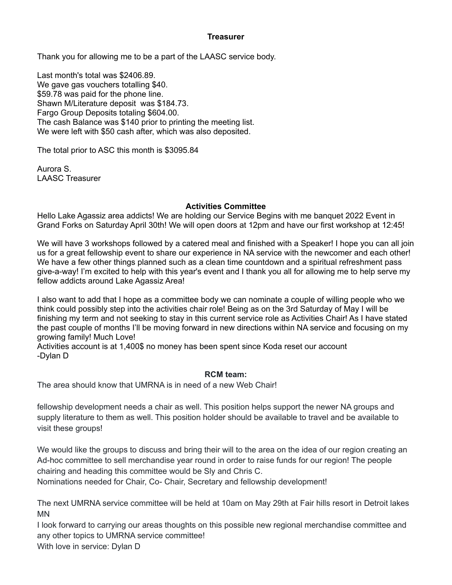## **Treasurer**

Thank you for allowing me to be a part of the LAASC service body.

Last month's total was \$2406.89. We gave gas vouchers totalling \$40. \$59.78 was paid for the phone line. Shawn M/Literature deposit was \$184.73. Fargo Group Deposits totaling \$604.00. The cash Balance was \$140 prior to printing the meeting list. We were left with \$50 cash after, which was also deposited.

The total prior to ASC this month is \$3095.84

Aurora S. LAASC Treasurer

## **Activities Committee**

Hello Lake Agassiz area addicts! We are holding our Service Begins with me banquet 2022 Event in Grand Forks on Saturday April 30th! We will open doors at 12pm and have our first workshop at 12:45!

We will have 3 workshops followed by a catered meal and finished with a Speaker! I hope you can all join us for a great fellowship event to share our experience in NA service with the newcomer and each other! We have a few other things planned such as a clean time countdown and a spiritual refreshment pass give-a-way! I'm excited to help with this year's event and I thank you all for allowing me to help serve my fellow addicts around Lake Agassiz Area!

I also want to add that I hope as a committee body we can nominate a couple of willing people who we think could possibly step into the activities chair role! Being as on the 3rd Saturday of May I will be finishing my term and not seeking to stay in this current service role as Activities Chair! As I have stated the past couple of months I'll be moving forward in new directions within NA service and focusing on my growing family! Much Love!

Activities account is at 1,400\$ no money has been spent since Koda reset our account -Dylan D

## **RCM team:**

The area should know that UMRNA is in need of a new Web Chair!

fellowship development needs a chair as well. This position helps support the newer NA groups and supply literature to them as well. This position holder should be available to travel and be available to visit these groups!

We would like the groups to discuss and bring their will to the area on the idea of our region creating an Ad-hoc committee to sell merchandise year round in order to raise funds for our region! The people chairing and heading this committee would be Sly and Chris C.

Nominations needed for Chair, Co- Chair, Secretary and fellowship development!

The next UMRNA service committee will be held at 10am on May 29th at Fair hills resort in Detroit lakes MN

I look forward to carrying our areas thoughts on this possible new regional merchandise committee and any other topics to UMRNA service committee! With love in service: Dylan D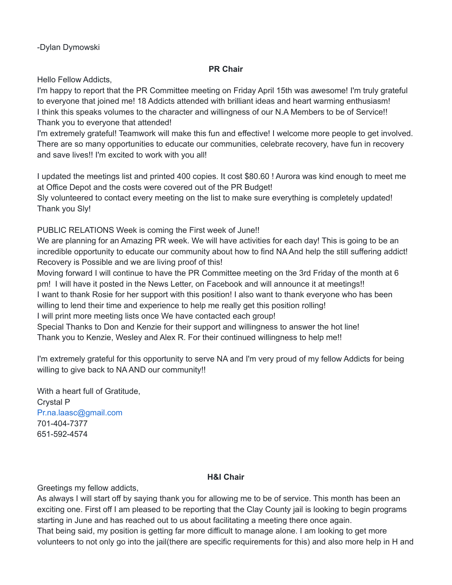-Dylan Dymowski

# **PR Chair**

Hello Fellow Addicts,

I'm happy to report that the PR Committee meeting on Friday April 15th was awesome! I'm truly grateful to everyone that joined me! 18 Addicts attended with brilliant ideas and heart warming enthusiasm! I think this speaks volumes to the character and willingness of our N.A Members to be of Service!! Thank you to everyone that attended!

I'm extremely grateful! Teamwork will make this fun and effective! I welcome more people to get involved. There are so many opportunities to educate our communities, celebrate recovery, have fun in recovery and save lives!! I'm excited to work with you all!

I updated the meetings list and printed 400 copies. It cost \$80.60 ! Aurora was kind enough to meet me at Office Depot and the costs were covered out of the PR Budget!

Sly volunteered to contact every meeting on the list to make sure everything is completely updated! Thank you Sly!

PUBLIC RELATIONS Week is coming the First week of June!!

We are planning for an Amazing PR week. We will have activities for each day! This is going to be an incredible opportunity to educate our community about how to find NA And help the still suffering addict! Recovery is Possible and we are living proof of this!

Moving forward I will continue to have the PR Committee meeting on the 3rd Friday of the month at 6 pm! I will have it posted in the News Letter, on Facebook and will announce it at meetings!! I want to thank Rosie for her support with this position! I also want to thank everyone who has been willing to lend their time and experience to help me really get this position rolling!

I will print more meeting lists once We have contacted each group!

Special Thanks to Don and Kenzie for their support and willingness to answer the hot line! Thank you to Kenzie, Wesley and Alex R. For their continued willingness to help me!!

I'm extremely grateful for this opportunity to serve NA and I'm very proud of my fellow Addicts for being willing to give back to NA AND our community!!

With a heart full of Gratitude, Crystal P Pr.na.laasc@gmail.com 701-404-7377 651-592-4574

# **H&I Chair**

Greetings my fellow addicts,

As always I will start off by saying thank you for allowing me to be of service. This month has been an exciting one. First off I am pleased to be reporting that the Clay County jail is looking to begin programs starting in June and has reached out to us about facilitating a meeting there once again.

That being said, my position is getting far more difficult to manage alone. I am looking to get more volunteers to not only go into the jail(there are specific requirements for this) and also more help in H and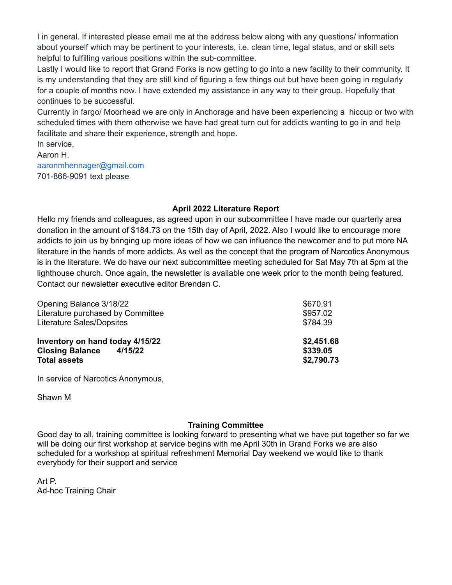I in general. If interested please email me at the address below along with any questions/ information about yourself which may be pertinent to your interests, i.e. clean time, legal status, and or skill sets helpful to fulfilling various positions within the sub-committee.

Lastly I would like to report that Grand Forks is now getting to go into a new facility to their community. It is my understanding that they are still kind of figuring a few things out but have been going in regularly for a couple of months now. I have extended my assistance in any way to their group. Hopefully that continues to be successful.

Currently in fargo/ Moorhead we are only in Anchorage and have been experiencing a hiccup or two with scheduled times with them otherwise we have had great turn out for addicts wanting to go in and help facilitate and share their experience, strength and hope.

In service, Aaron H. aaronmhennager@gmail.com 701-866-9091 text please

## **April 2022 Literature Report**

Hello my friends and colleagues, as agreed upon in our subcommittee I have made our quarterly area donation in the amount of \$184.73 on the 15th day of April, 2022. Also I would like to encourage more addicts to join us by bringing up more ideas of how we can influence the newcomer and to put more NA literature in the hands of more addicts. As well as the concept that the program of Narcotics Anonymous is in the literature. We do have our next subcommittee meeting scheduled for Sat May 7th at 5pm at the lighthouse church. Once again, the newsletter is available one week prior to the month being featured. Contact our newsletter executive editor Brendan C.

| Opening Balance 3/18/22           | \$670.91   |
|-----------------------------------|------------|
| Literature purchased by Committee | \$957.02   |
| Literature Sales/Dopsites         | \$784.39   |
| Inventory on hand today 4/15/22   | \$2,451.68 |
| <b>Closing Balance</b><br>4/15/22 | \$339.05   |
| <b>Total assets</b>               | \$2,790.73 |
|                                   |            |

In service of Narcotics Anonymous,

Shawn M

## **Training Committee**

Good day to all, training committee is looking forward to presenting what we have put together so far we will be doing our first workshop at service begins with me April 30th in Grand Forks we are also scheduled for a workshop at spiritual refreshment Memorial Day weekend we would like to thank everybody for their support and service

Art P. Ad-hoc Training Chair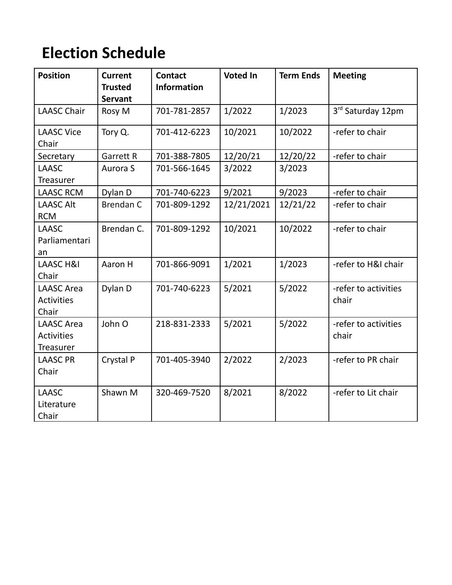# **Election Schedule**

| <b>Position</b>                                            | <b>Current</b><br><b>Trusted</b><br><b>Servant</b> | <b>Contact</b><br><b>Information</b> | <b>Voted In</b> | <b>Term Ends</b> | <b>Meeting</b>                |
|------------------------------------------------------------|----------------------------------------------------|--------------------------------------|-----------------|------------------|-------------------------------|
| <b>LAASC Chair</b>                                         | Rosy M                                             | 701-781-2857                         | 1/2022          | 1/2023           | 3rd Saturday 12pm             |
| <b>LAASC Vice</b><br>Chair                                 | Tory Q.                                            | 701-412-6223                         | 10/2021         | 10/2022          | -refer to chair               |
| Secretary                                                  | <b>Garrett R</b>                                   | 701-388-7805                         | 12/20/21        | 12/20/22         | -refer to chair               |
| <b>LAASC</b><br>Treasurer                                  | Aurora S                                           | 701-566-1645                         | 3/2022          | 3/2023           |                               |
| <b>LAASC RCM</b>                                           | Dylan D                                            | 701-740-6223                         | 9/2021          | 9/2023           | -refer to chair               |
| <b>LAASC Alt</b><br><b>RCM</b>                             | <b>Brendan C</b>                                   | 701-809-1292                         | 12/21/2021      | 12/21/22         | -refer to chair               |
| <b>LAASC</b><br>Parliamentari<br>an                        | Brendan C.                                         | 701-809-1292                         | 10/2021         | 10/2022          | -refer to chair               |
| <b>LAASC H&amp;I</b><br>Chair                              | Aaron H                                            | 701-866-9091                         | 1/2021          | 1/2023           | -refer to H&I chair           |
| <b>LAASC Area</b><br><b>Activities</b><br>Chair            | Dylan D                                            | 701-740-6223                         | 5/2021          | 5/2022           | -refer to activities<br>chair |
| <b>LAASC</b> Area<br><b>Activities</b><br><b>Treasurer</b> | John O                                             | 218-831-2333                         | 5/2021          | 5/2022           | -refer to activities<br>chair |
| <b>LAASC PR</b><br>Chair                                   | Crystal P                                          | 701-405-3940                         | 2/2022          | 2/2023           | -refer to PR chair            |
| <b>LAASC</b><br>Literature<br>Chair                        | Shawn M                                            | 320-469-7520                         | 8/2021          | 8/2022           | -refer to Lit chair           |